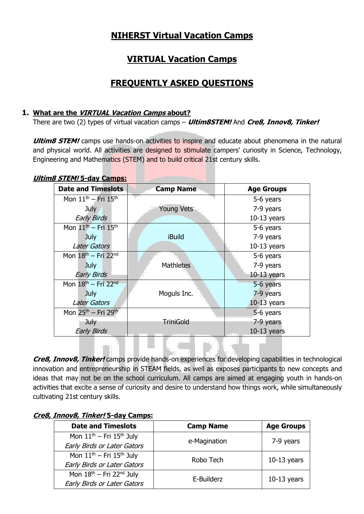# **NIHERST Virtual Vacation Camps**

# **VIRTUAL Vacation Camps**

# **FREQUENTLY ASKED QUESTIONS**

# **1. What are the VIRTUAL Vacation Camps about?**

There are two (2) types of virtual vacation camps – **Ultim8STEM!** And **Cre8, Innov8, Tinker!**

**Ultim8 STEM!** camps use hands-on activities to inspire and educate about phenomena in the natural and physical world. All activities are designed to stimulate campers' curiosity in Science, Technology, Engineering and Mathematics (STEM) and to build critical 21st century skills.

#### **Ultim8 STEM! 5-day Camps:**

| <b>Date and Timeslots</b>                   | <b>Camp Name</b>  | <b>Age Groups</b> |
|---------------------------------------------|-------------------|-------------------|
| Mon $11^{th}$ – Fri $15^{th}$               |                   | 5-6 years         |
| July                                        | <b>Young Vets</b> | 7-9 years         |
| <b>Early Birds</b>                          |                   | $10-13$ years     |
| Mon $11th$ – Fri $15th$                     |                   | 5-6 years         |
| July                                        | <b>iBuild</b>     | 7-9 years         |
| Later Gators                                |                   | $10-13$ years     |
| Mon $18th$ – Fri 22 <sup>nd</sup>           |                   | 5-6 years         |
| July                                        | <b>Mathletes</b>  | 7-9 years         |
| <b>Early Birds</b>                          |                   | $10-13$ years     |
| Mon $18th$ – Fri 22 <sup>nd</sup>           |                   | 5-6 years         |
| <b>July</b>                                 | Moguls Inc.       | 7-9 years         |
| <b>Later Gators</b>                         |                   | $10-13$ years     |
| Mon 25 <sup>th</sup> - Fri 29 <sup>th</sup> |                   | 5-6 years         |
| <b>July</b>                                 | <b>TriniGold</b>  | 7-9 years         |
| <b>Early Birds</b>                          |                   | $10-13$ years     |

**Cre8, Innov8, Tinker!** camps provide hands-on experiences for developing capabilities in technological innovation and entrepreneurship in STEAM fields, as well as exposes participants to new concepts and ideas that may not be on the school curriculum. All camps are aimed at engaging youth in hands-on activities that excite a sense of curiosity and desire to understand how things work, while simultaneously cultivating 21st century skills.

# **Cre8, Innov8, Tinker! 5-day Camps:**

| <b>Date and Timeslots</b>                 | <b>Camp Name</b> | <b>Age Groups</b> |
|-------------------------------------------|------------------|-------------------|
| Mon $11th$ – Fri $15th$ July              | e-Magination     | 7-9 years         |
| <b>Early Birds or Later Gators</b>        |                  |                   |
| Mon $11th$ – Fri $15th$ July              | Robo Tech        | $10-13$ years     |
| Early Birds or Later Gators               |                  |                   |
| Mon $18^{th}$ – Fri 22 <sup>nd</sup> July | E-Builderz       | $10-13$ years     |
| <b>Early Birds or Later Gators</b>        |                  |                   |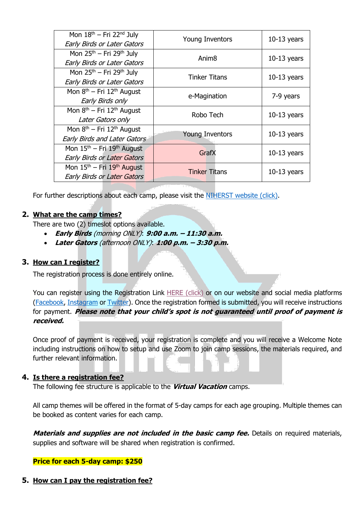| Mon 18 <sup>th</sup> - Fri 22 <sup>nd</sup> July  | Young Inventors        | $10-13$ years |
|---------------------------------------------------|------------------------|---------------|
| <b>Early Birds or Later Gators</b>                |                        |               |
| Mon $25th$ – Fri $29th$ July                      | Anim <sub>8</sub>      | $10-13$ years |
| <b>Early Birds or Later Gators</b>                |                        |               |
| Mon $25th$ – Fri $29th$ July                      | <b>Tinker Titans</b>   | $10-13$ years |
| Early Birds or Later Gators                       |                        |               |
| Mon 8 <sup>th</sup> – Fri 12 <sup>th</sup> August |                        | 7-9 years     |
| Early Birds only                                  | e-Magination           |               |
| Mon $8th$ – Fri 12 <sup>th</sup> August           | Robo Tech              | $10-13$ years |
| Later Gators only                                 |                        |               |
| Mon $8th$ – Fri 12 <sup>th</sup> August           |                        |               |
| <b>Early Birds and Later Gators</b>               | <b>Young Inventors</b> | $10-13$ years |
| Mon $15th$ – Fri $19th$ August                    | GrafX                  | $10-13$ years |
| <b>Early Birds or Later Gators</b>                |                        |               |
| Mon $15th$ – Fri $19th$ August                    | <b>Tinker Titans</b>   | $10-13$ years |
| <b>Early Birds or Later Gators</b>                |                        |               |

For further descriptions about each camp, please visit the [NIHERST website \(click\).](http://www.niherst.gov.tt/scipop/scipop-camps.html)

# **2. What are the camp times?**

There are two (2) timeslot options available.

- **Early Birds** (morning ONLY): **9:00 a.m. – 11:30 a.m.**
- **Later Gators** (afternoon ONLY): **1:00 p.m. – 3:30 p.m.**

#### **3. How can I register?**

The registration process is done entirely online.

You can register using the Registration Link [HERE \(click\)](https://forms.office.com/r/Rx5gRqJRz5) or on our website and social media platforms [\(Facebook,](https://www.facebook.com/NIHERST/) [Instagram](https://www.instagram.com/niherst/?hl=en) or [Twitter\)](https://twitter.com/NIHERST). Once the registration formed is submitted, you will receive instructions for payment. **Please note that your child's spot is not guaranteed until proof of payment is received.**

Once proof of payment is received, your registration is complete and you will receive a Welcome Note including instructions on how to setup and use Zoom to join camp sessions, the materials required, and further relevant information.

#### **4. Is there a registration fee?**

The following fee structure is applicable to the **Virtual Vacation** camps.

All camp themes will be offered in the format of 5-day camps for each age grouping. Multiple themes can be booked as content varies for each camp.

**Materials and supplies are not included in the basic camp fee.** Details on required materials, supplies and software will be shared when registration is confirmed.

#### **Price for each 5-day camp: \$250**

**5. How can I pay the registration fee?**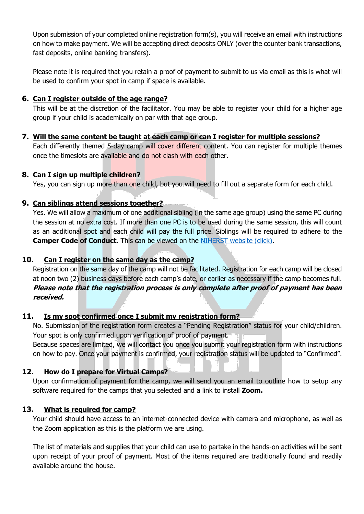Upon submission of your completed online registration form(s), you will receive an email with instructions on how to make payment. We will be accepting direct deposits ONLY (over the counter bank transactions, fast deposits, online banking transfers).

Please note it is required that you retain a proof of payment to submit to us via email as this is what will be used to confirm your spot in camp if space is available.

#### **6. Can I register outside of the age range?**

This will be at the discretion of the facilitator. You may be able to register your child for a higher age group if your child is academically on par with that age group.

#### **7. Will the same content be taught at each camp or can I register for multiple sessions?**

Each differently themed 5-day camp will cover different content. You can register for multiple themes once the timeslots are available and do not clash with each other.

#### **8. Can I sign up multiple children?**

Yes, you can sign up more than one child, but you will need to fill out a separate form for each child.

#### **9. Can siblings attend sessions together?**

Yes. We will allow a maximum of one additional sibling (in the same age group) using the same PC during the session at no extra cost. If more than one PC is to be used during the same session, this will count as an additional spot and each child will pay the full price. Siblings will be required to adhere to the **Camper Code of Conduct**. This can be viewed on the [NIHERST website \(click\).](http://www.niherst.gov.tt/scipop/scipop-camps.html)

# **10. Can I register on the same day as the camp?**

Registration on the same day of the camp will not be facilitated. Registration for each camp will be closed at noon two (2) business days before each camp's date, or earlier as necessary if the camp becomes full. **Please note that the registration process is only complete after proof of payment has been received.** 

# **11. Is my spot confirmed once I submit my registration form?**

No. Submission of the registration form creates a "Pending Registration" status for your child/children. Your spot is only confirmed upon verification of proof of payment.

Because spaces are limited, we will contact you once you submit your registration form with instructions on how to pay. Once your payment is confirmed, your registration status will be updated to "Confirmed".

# **12. How do I prepare for Virtual Camps?**

Upon confirmation of payment for the camp, we will send you an email to outline how to setup any software required for the camps that you selected and a link to install **Zoom.**

#### **13. What is required for camp?**

Your child should have access to an internet-connected device with camera and microphone, as well as the Zoom application as this is the platform we are using.

The list of materials and supplies that your child can use to partake in the hands-on activities will be sent upon receipt of your proof of payment. Most of the items required are traditionally found and readily available around the house.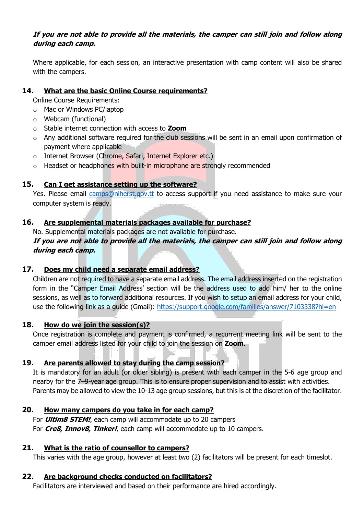# **If you are not able to provide all the materials, the camper can still join and follow along during each camp.**

Where applicable, for each session, an interactive presentation with camp content will also be shared with the campers.

#### **14. What are the basic Online Course requirements?**

Online Course Requirements:

- o Mac or Windows PC/laptop
- o Webcam (functional)
- o Stable internet connection with access to **Zoom**
- o Any additional software required for the club sessions will be sent in an email upon confirmation of payment where applicable
- o Internet Browser (Chrome, Safari, Internet Explorer etc.)
- $\circ$  Headset or headphones with built-in microphone are strongly recommended

#### **15. Can I get assistance setting up the software?**

Yes. Please email [camps@niherst.gov.tt](mailto:camps@niherst.gov.tt) to access support if you need assistance to make sure your computer system is ready.

# **16. Are supplemental materials packages available for purchase?**

No. Supplemental materials packages are not available for purchase. **If you are not able to provide all the materials, the camper can still join and follow along during each camp.**

# **17. Does my child need a separate email address?**

Children are not required to have a separate email address. The email address inserted on the registration form in the "Camper Email Address' section will be the address used to add him/ her to the online sessions, as well as to forward additional resources. If you wish to setup an email address for your child, use the following link as a guide (Gmail): <https://support.google.com/families/answer/7103338?hl=en>

#### **18. How do we join the session(s)?**

Once registration is complete and payment is confirmed, a recurrent meeting link will be sent to the camper email address listed for your child to join the session on **Zoom**.

# **19. Are parents allowed to stay during the camp session?**

It is mandatory for an adult (or older sibling) is present with each camper in the 5-6 age group and nearby for the 7–9-year age group. This is to ensure proper supervision and to assist with activities. Parents may be allowed to view the 10-13 age group sessions, but this is at the discretion of the facilitator.

# **20. How many campers do you take in for each camp?**

For **Ultim8 STEM!**, each camp will accommodate up to 20 campers For **Cre8, Innov8, Tinker!**, each camp will accommodate up to 10 campers.

#### **21. What is the ratio of counsellor to campers?**

This varies with the age group, however at least two (2) facilitators will be present for each timeslot.

# **22. Are background checks conducted on facilitators?**

Facilitators are interviewed and based on their performance are hired accordingly.